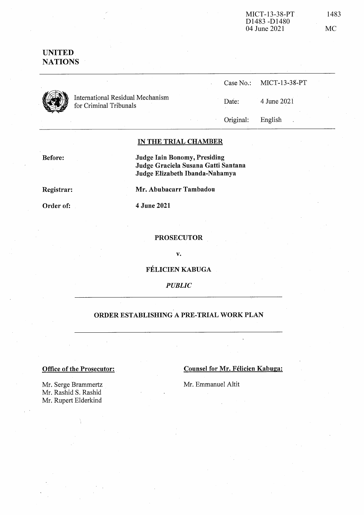# **UNITED NATIONS**



International Residual Mechanism for Criminal Tribunals

|       | Case No.: MICT-13-38-PT |
|-------|-------------------------|
| Date: | 4 June 2021             |

Original:

English

### IN THE TRIAL CHAMBER

Before:

Judge Iain Bonomy, Presiding Judge Graciela Susana Gatti Santana Judge Elizabeth Ibanda-Nahamya

Registrar:

Order of:

4 June 2021

#### **PROSECUTOR**

Mr. Abubacarr Tambadou

 $\mathbf{v}$ .

FÉLICIEN KABUGA

**PUBLIC** 

## ORDER ESTABLISHING A PRE-TRIAL WORK PLAN

#### **Office of the Prosecutor:**

**Counsel for Mr. Félicien Kabuga:** 

Mr. Emmanuel Altit

Mr. Serge Brammertz Mr. Rashid S. Rashid Mr. Rupert Elderkind

**MC**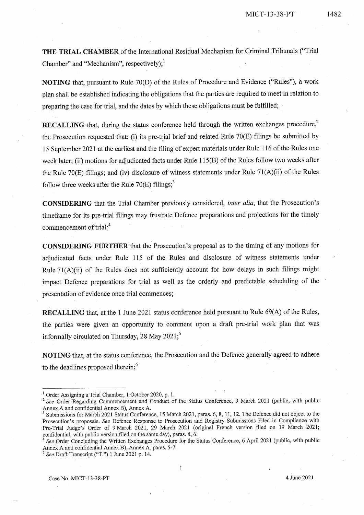1482

THE TRIAL CHAMBER of the International Residual Mechanism for Criminal Tribunals ("Trial Chamber" and "Mechanism", respectively); $^1$ 

NOTING that, pursuant to Rule 70(D) of the Rules of Procedure and Evidence ("Rules"), a work plan shall be established indicating the obligations that the parties are required to meet in relation to preparing the case for trial, and the dates by which these obligations must be fulfilled;

**RECALLING** that, during the status conference held through the written exchanges procedure,<sup>2</sup> the Prosecution requested that: (i) its pre-trial brief and related Rule 70(E) filings be submitted by 15 September 2021 at the earliest and the filing of expert materials under Rule 116 of the Rules one week later; (ii) motions for adjudicated facts under Rule 115(B) of the Rules follow two weeks after the Rule 70 $(E)$  filings; and (iv) disclosure of witness statements under Rule 71 $(A)(ii)$  of the Rules follow three weeks after the Rule  $70(E)$  filings;<sup>3</sup>

**CONSIDERING** that the Trial Chamber previously considered, *inter alia*, that the Prosecution's timeframe for its pre-trial filings may frustrate Defence preparations and projections for the timely commencement of trial;<sup>4</sup>

**CONSIDERING FURTHER** that the Prosecution's proposal as to the timing of any motions for adjudicated facts under Rule 115 of the Rules and disclosure of witness statements under Rule  $71(A)(ii)$  of the Rules does not sufficiently account for how delays in such filings might impact Defence preparations for trial as well as the orderly and predictable scheduling of the presentation of evidence once trial commences;

RECALLING that, at the 1 June 2021 status conference held pursuant to Rule 69(A) of the Rules, the parties were given an opportunity to comment upon a draft pre-trial work plan that was informally circulated on Thursday, 28 May 2021;<sup>5</sup>

NOTING that, at the status conference, the Prosecution and the Defence generally agreed to adhere to the deadlines proposed therein;<sup>6</sup>

<sup>&</sup>lt;sup>1</sup> Order Assigning a Trial Chamber, 1 October 2020, p. 1.

<sup>&</sup>lt;sup>2</sup> See Order Regarding Commencement and Conduct of the Status Conference, 9 March 2021 (public, with public Annex A and confidential Annex B), Annex A.<br><sup>3</sup> Submissions for March 2021 Status Conference, 15 March 2021, paras. 6, 8, 11, 12. The Defence did not object to the

Prosecution's proposals. See Defence Response to Prosecution and Registry Submissions Filed in Compliance with Pre-Trial Judge's Order of 9 March 2021, 29 March 2021 (original French version filed on 19 March 2021; confidential, with public version filed on the same day), paras. 4, 6.

<sup>&</sup>lt;sup>4</sup> See Order Concluding the Written Exchanges Procedure for the Status Conference, 6 April 2021 (public, with public Annex A and confidential Annex B), Annex A, paras. 5-7.

 $5$  See Draft Transcript ("T.") 1 June 2021 p. 14.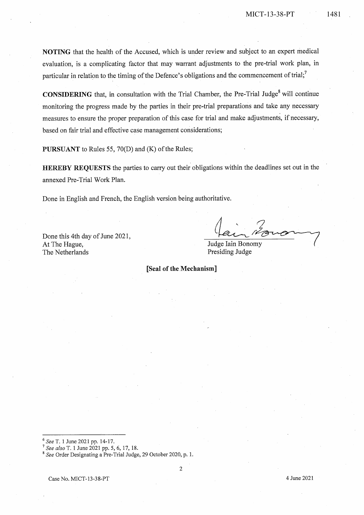NOTING that the health of the Accused, which is under review and subject to an expert medical evaluation, is a complicating factor that may warrant adjustments to the pre-trial work plan, in particular in relation to the timing of the Defence's obligations and the commencement of trial;<sup>7</sup>

**CONSIDERING** that, in consultation with the Trial Chamber, the Pre-Trial Judge<sup>8</sup> will continue monitoring the progress made by the parties in their pre-trial preparations and take any necessary measures to ensure the proper preparation of this case for trial and make adjustments, if necessary, based on fair trial and effective case management considerations;

PURSUANT to Rules 55, 70(D) and (K) of the Rules;

**HEREBY REQUESTS** the parties to carry out their obligations within the deadlines set out in the annexed Pre-Trial Work Plan.

Done in English and French, the English version being authoritative.

Done this 4th day of June 2021, At The Hague, The Netherlands

Judge Iain Bonomy Presiding Judge

[Seal of the Mechanism]

 $6$  See T. 1 June 2021 pp. 14-17.

 $^7$  See also T. 1 June 2021 pp. 5, 6, 17, 18.

<sup>&</sup>lt;sup>8</sup> See Order Designating a Pre-Trial Judge, 29 October 2020, p. 1.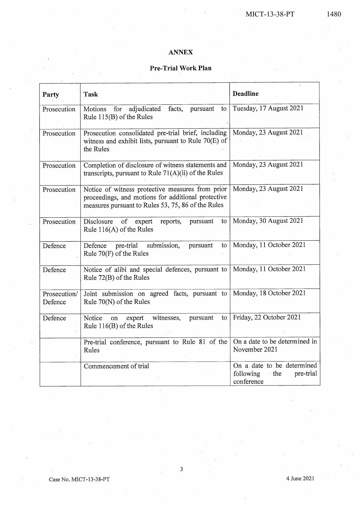## **ANNEX**

## Pre-Trial Work Plan

| Party                   | <b>Task</b>                                                                                                                                                  | <b>Deadline</b>                                                           |
|-------------------------|--------------------------------------------------------------------------------------------------------------------------------------------------------------|---------------------------------------------------------------------------|
| Prosecution             | adjudicated<br>Motions<br>for<br>facts,<br>pursuant<br>to<br>Rule 115(B) of the Rules                                                                        | Tuesday, 17 August 2021                                                   |
| Prosecution             | Prosecution consolidated pre-trial brief, including<br>witness and exhibit lists, pursuant to Rule $70(E)$ of<br>the Rules                                   | Monday, 23 August 2021                                                    |
| Prosecution             | Completion of disclosure of witness statements and<br>transcripts, pursuant to Rule $71(A)(ii)$ of the Rules                                                 | Monday, 23 August 2021                                                    |
| Prosecution             | Notice of witness protective measures from prior<br>proceedings, and motions for additional protective<br>measures pursuant to Rules 53, 75, 86 of the Rules | Monday, 23 August 2021                                                    |
| Prosecution             | of expert<br>Disclosure<br>reports,<br>pursuant<br>to<br>Rule $116(A)$ of the Rules                                                                          | Monday, 30 August 2021                                                    |
| Defence                 | submission,<br>pre-trial<br>Defence<br>pursuant<br>to<br>Rule 70(F) of the Rules                                                                             | Monday, 11 October 2021                                                   |
| Defence                 | Notice of alibi and special defences, pursuant to<br>Rule 72(B) of the Rules                                                                                 | Monday, 11 October 2021                                                   |
| Prosecution/<br>Defence | Joint submission on agreed facts, pursuant to<br>Rule $70(N)$ of the Rules                                                                                   | Monday, 18 October 2021                                                   |
| Defence                 | expert witnesses,<br>pursuant<br>Notice<br>to<br>on<br>Rule 116(B) of the Rules                                                                              | Friday, 22 October 2021                                                   |
|                         | Pre-trial conference, pursuant to Rule 81 of the<br>Rules                                                                                                    | On a date to be determined in<br>November 2021                            |
|                         | Commencement of trial                                                                                                                                        | On a date to be determined<br>following<br>pre-trial<br>the<br>conference |